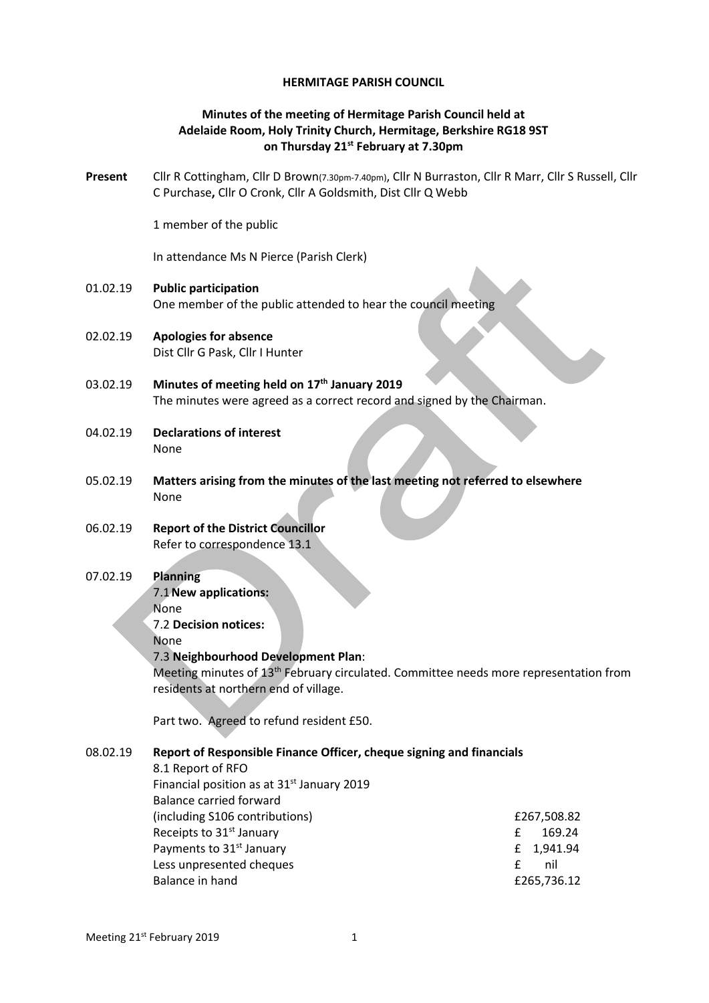## **HERMITAGE PARISH COUNCIL**

# **Minutes of the meeting of Hermitage Parish Council held at Adelaide Room, Holy Trinity Church, Hermitage, Berkshire RG18 9ST on Thursday 21st February at 7.30pm**

**Present** Cllr R Cottingham, Cllr D Brown(7.30pm-7.40pm), Cllr N Burraston, Cllr R Marr, Cllr S Russell, Cllr C Purchase**,** Cllr O Cronk, Cllr A Goldsmith, Dist Cllr Q Webb

1 member of the public

In attendance Ms N Pierce (Parish Clerk)

- 01.02.19 **Public participation**  One member of the public attended to hear the council meeting
- 02.02.19 **Apologies for absence** Dist Cllr G Pask, Cllr I Hunter
- 03.02.19 **Minutes of meeting held on 17th January 2019** The minutes were agreed as a correct record and signed by the Chairman.
- 04.02.19 **Declarations of interest** None
- 05.02.19 **Matters arising from the minutes of the last meeting not referred to elsewhere** None
- 06.02.19 **Report of the District Councillor** Refer to correspondence 13.1

## 07.02.19 **Planning**

7.1**New applications:**

None

7.2 **Decision notices:**

None

## 7.3 **Neighbourhood Development Plan**:

Meeting minutes of 13<sup>th</sup> February circulated. Committee needs more representation from residents at northern end of village.

Part two. Agreed to refund resident £50.

## 08.02.19 **Report of Responsible Finance Officer, cheque signing and financials**

8.1 Report of RFO Financial position as at 31<sup>st</sup> January 2019 Balance carried forward (including S106 contributions) £267,508.82 Receipts to  $31<sup>st</sup>$  January  $\qquad \qquad$   $\qquad \qquad$   $\qquad \qquad$   $\qquad \qquad$  169.24 Payments to 31<sup>st</sup> January **E** 1,941.94 Less unpresented cheques extending the state of the nil state of the nil state of the nil state of the nil state of the nil state of the nil state of the nil state of the nil state of the nil state of the nil state of the Balance in hand **E265,736.12**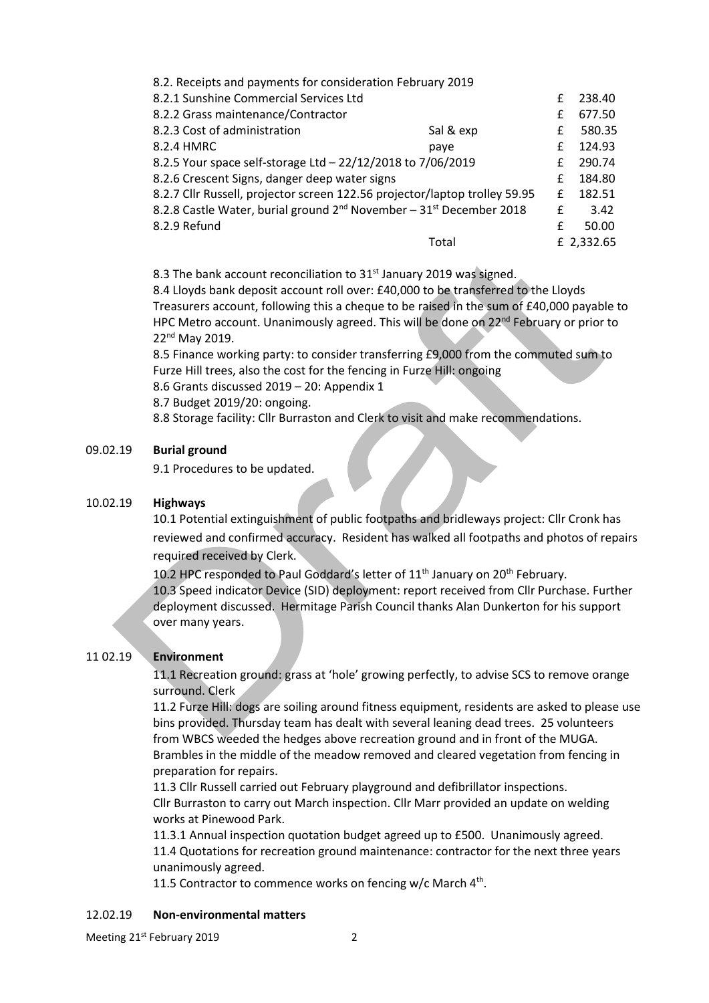| 8.2. Receipts and payments for consideration February 2019                                  |           |   |            |
|---------------------------------------------------------------------------------------------|-----------|---|------------|
| 8.2.1 Sunshine Commercial Services Ltd                                                      |           | f | 238.40     |
| 8.2.2 Grass maintenance/Contractor                                                          |           | f | 677.50     |
| 8.2.3 Cost of administration                                                                | Sal & exp | f | 580.35     |
| 8.2.4 HMRC                                                                                  | paye      | f | 124.93     |
| 8.2.5 Your space self-storage Ltd - 22/12/2018 to 7/06/2019                                 |           | f | 290.74     |
| 8.2.6 Crescent Signs, danger deep water signs                                               |           | f | 184.80     |
| 8.2.7 Cllr Russell, projector screen 122.56 projector/laptop trolley 59.95                  |           | f | 182.51     |
| 8.2.8 Castle Water, burial ground 2 <sup>nd</sup> November - 31 <sup>st</sup> December 2018 |           | f | 3.42       |
| 8.2.9 Refund                                                                                |           | f | 50.00      |
|                                                                                             | Total     |   | £ 2,332.65 |

8.3 The bank account reconciliation to 31<sup>st</sup> January 2019 was signed.

8.4 Lloyds bank deposit account roll over: £40,000 to be transferred to the Lloyds Treasurers account, following this a cheque to be raised in the sum of £40,000 payable to HPC Metro account. Unanimously agreed. This will be done on 22<sup>nd</sup> February or prior to 22nd May 2019.

8.5 Finance working party: to consider transferring £9,000 from the commuted sum to Furze Hill trees, also the cost for the fencing in Furze Hill: ongoing

8.6 Grants discussed 2019 – 20: Appendix 1

8.7 Budget 2019/20: ongoing.

8.8 Storage facility: Cllr Burraston and Clerk to visit and make recommendations.

#### 09.02.19 **Burial ground**

9.1 Procedures to be updated.

#### 10.02.19 **Highways**

10.1 Potential extinguishment of public footpaths and bridleways project: Cllr Cronk has reviewed and confirmed accuracy. Resident has walked all footpaths and photos of repairs required received by Clerk.

10.2 HPC responded to Paul Goddard's letter of 11<sup>th</sup> January on 20<sup>th</sup> February. 10.3 Speed indicator Device (SID) deployment: report received from Cllr Purchase. Further deployment discussed. Hermitage Parish Council thanks Alan Dunkerton for his support over many years.

### 11 02.19 **Environment**

11.1 Recreation ground: grass at 'hole' growing perfectly, to advise SCS to remove orange surround. Clerk

11.2 Furze Hill: dogs are soiling around fitness equipment, residents are asked to please use bins provided. Thursday team has dealt with several leaning dead trees. 25 volunteers from WBCS weeded the hedges above recreation ground and in front of the MUGA. Brambles in the middle of the meadow removed and cleared vegetation from fencing in preparation for repairs.

11.3 Cllr Russell carried out February playground and defibrillator inspections. Cllr Burraston to carry out March inspection. Cllr Marr provided an update on welding works at Pinewood Park.

11.3.1 Annual inspection quotation budget agreed up to £500. Unanimously agreed. 11.4 Quotations for recreation ground maintenance: contractor for the next three years unanimously agreed.

11.5 Contractor to commence works on fencing w/c March  $4<sup>th</sup>$ .

#### 12.02.19 **Non-environmental matters**